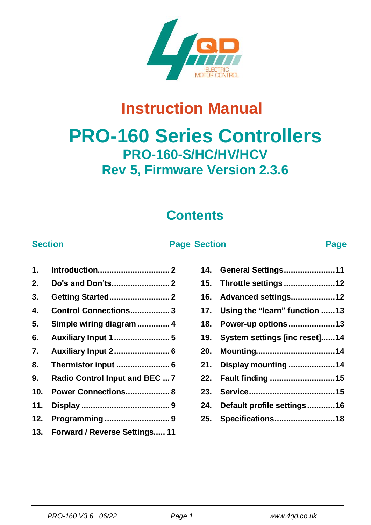

# **Instruction Manual**

# **PRO-160 Series Controllers PRO-160-S/HC/HV/HCV Rev 5, Firmware Version 2.3.6**

### **Contents**

#### **Section Page Section Page**

| 2.  | Do's and Don'ts 2                 |
|-----|-----------------------------------|
| 3.  | <b>Getting Started 2</b>          |
| 4.  | Control Connections3              |
| 5.  | Simple wiring diagram  4          |
| 6.  | Auxiliary Input 1 5               |
| 7.  | Auxiliary Input 2 6               |
| 8.  |                                   |
| 9.  | Radio Control Input and BEC  7    |
|     | 10. Power Connections 8           |
| 11. |                                   |
| 12. | Programming9                      |
|     | 13. Forward / Reverse Settings 11 |

|     | 14. General Settings11            |
|-----|-----------------------------------|
| 15. | Throttle settings 12              |
| 16. | Advanced settings12               |
|     | 17. Using the "learn" function 13 |
| 18. | Power-up options13                |
| 19. | System settings [inc reset]14     |
| 20. | Mounting14                        |
| 21. | Display mounting 14               |
| 22. | Fault finding 15                  |
| 23. |                                   |
| 24. | Default profile settings16        |
|     | 25. Specifications18              |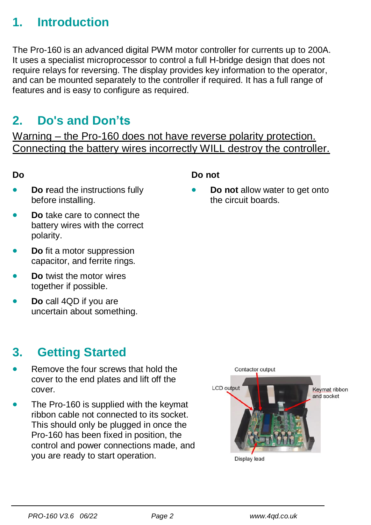### <span id="page-1-0"></span>**1. Introduction**

The Pro-160 is an advanced digital PWM motor controller for currents up to 200A. It uses a specialist microprocessor to control a full H-bridge design that does not require relays for reversing. The display provides key information to the operator, and can be mounted separately to the controller if required. It has a full range of features and is easy to configure as required.

### <span id="page-1-1"></span>**2. Do's and Don'ts**

Warning – the Pro-160 does not have reverse polarity protection. Connecting the battery wires incorrectly WILL destroy the controller.

#### **Do**

- **Do r**ead the instructions fully before installing.
- **Do** take care to connect the battery wires with the correct polarity.
- **Do** fit a motor suppression capacitor, and ferrite rings.
- **Do** twist the motor wires together if possible.
- **Do** call 4QD if you are uncertain about something.

### <span id="page-1-2"></span>**3. Getting Started**

- Remove the four screws that hold the cover to the end plates and lift off the cover.
- The Pro-160 is supplied with the keymat ribbon cable not connected to its socket. This should only be plugged in once the Pro-160 has been fixed in position, the control and power connections made, and you are ready to start operation.

# Contactor output **LCD** output Keymat ribbon and socket Display lead

#### **Do not**

• **Do not** allow water to get onto the circuit boards.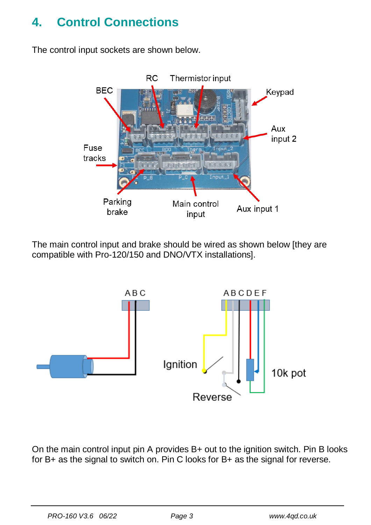### <span id="page-2-0"></span>**4. Control Connections**

The control input sockets are shown below.



The main control input and brake should be wired as shown below [they are compatible with Pro-120/150 and DNO/VTX installations].



On the main control input pin A provides B+ out to the ignition switch. Pin B looks for B+ as the signal to switch on. Pin C looks for B+ as the signal for reverse.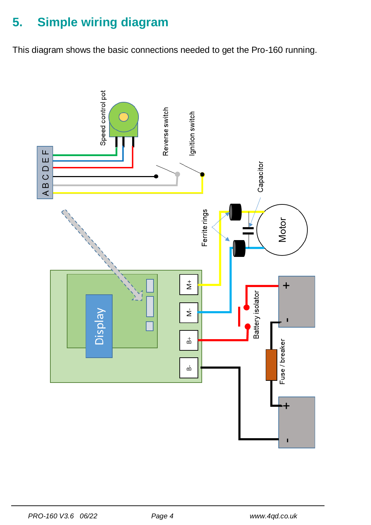## <span id="page-3-0"></span>**5. Simple wiring diagram**

This diagram shows the basic connections needed to get the Pro-160 running.

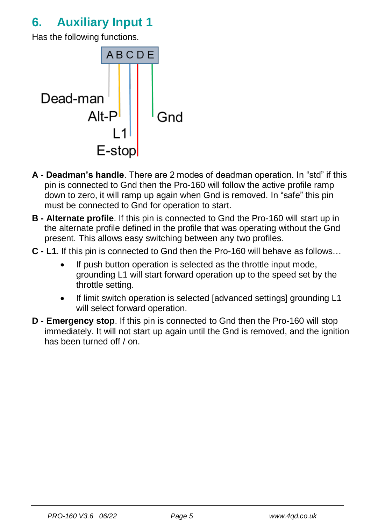### <span id="page-4-0"></span>**6. Auxiliary Input 1**

Has the following functions.



- **A - Deadman's handle**. There are 2 modes of deadman operation. In "std" if this pin is connected to Gnd then the Pro-160 will follow the active profile ramp down to zero, it will ramp up again when Gnd is removed. In "safe" this pin must be connected to Gnd for operation to start.
- **B - Alternate profile**. If this pin is connected to Gnd the Pro-160 will start up in the alternate profile defined in the profile that was operating without the Gnd present. This allows easy switching between any two profiles.
- **C - L1**. If this pin is connected to Gnd then the Pro-160 will behave as follows…
	- If push button operation is selected as the throttle input mode, grounding L1 will start forward operation up to the speed set by the throttle setting.
	- If limit switch operation is selected [advanced settings] grounding L1 will select forward operation.
- **D - Emergency stop**. If this pin is connected to Gnd then the Pro-160 will stop immediately. It will not start up again until the Gnd is removed, and the ignition has been turned off / on.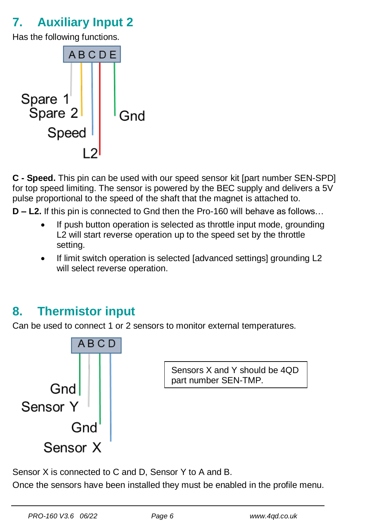### <span id="page-5-0"></span>**7. Auxiliary Input 2**

Has the following functions.



**C - Speed.** This pin can be used with our speed sensor kit [part number SEN-SPD] for top speed limiting. The sensor is powered by the BEC supply and delivers a 5V pulse proportional to the speed of the shaft that the magnet is attached to.

**D – L2.** If this pin is connected to Gnd then the Pro-160 will behave as follows…

- If push button operation is selected as throttle input mode, grounding L2 will start reverse operation up to the speed set by the throttle setting.
- If limit switch operation is selected [advanced settings] grounding L2 will select reverse operation.

### <span id="page-5-1"></span>**8. Thermistor input**

Can be used to connect 1 or 2 sensors to monitor external temperatures.



Sensors X and Y should be 4QD part number SEN-TMP.

Sensor X is connected to C and D, Sensor Y to A and B.

Once the sensors have been installed they must be enabled in the profile menu.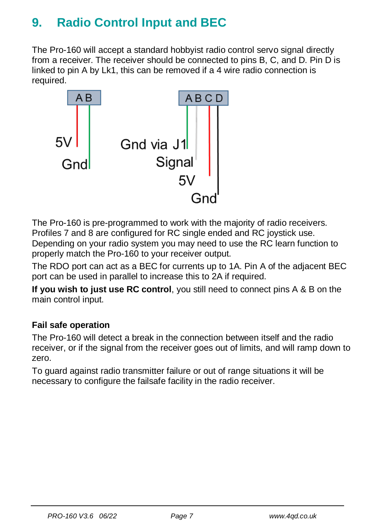### <span id="page-6-0"></span>**9. Radio Control Input and BEC**

The Pro-160 will accept a standard hobbyist radio control servo signal directly from a receiver. The receiver should be connected to pins B, C, and D. Pin D is linked to pin A by Lk1, this can be removed if a 4 wire radio connection is required.



The Pro-160 is pre-programmed to work with the majority of radio receivers. Profiles 7 and 8 are configured for RC single ended and RC joystick use. Depending on your radio system you may need to use the RC learn function to properly match the Pro-160 to your receiver output.

The RDO port can act as a BEC for currents up to 1A. Pin A of the adjacent BEC port can be used in parallel to increase this to 2A if required.

**If you wish to just use RC control**, you still need to connect pins A & B on the main control input.

### **Fail safe operation**

The Pro-160 will detect a break in the connection between itself and the radio receiver, or if the signal from the receiver goes out of limits, and will ramp down to zero.

To guard against radio transmitter failure or out of range situations it will be necessary to configure the failsafe facility in the radio receiver.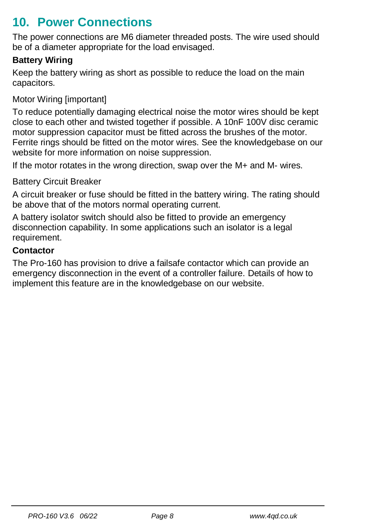### <span id="page-7-0"></span>**10. Power Connections**

The power connections are M6 diameter threaded posts. The wire used should be of a diameter appropriate for the load envisaged.

### **Battery Wiring**

Keep the battery wiring as short as possible to reduce the load on the main capacitors.

### Motor Wiring [important]

To reduce potentially damaging electrical noise the motor wires should be kept close to each other and twisted together if possible. A 10nF 100V disc ceramic motor suppression capacitor must be fitted across the brushes of the motor. Ferrite rings should be fitted on the motor wires. See the knowledgebase on our website for more information on noise suppression.

If the motor rotates in the wrong direction, swap over the M+ and M- wires.

#### Battery Circuit Breaker

A circuit breaker or fuse should be fitted in the battery wiring. The rating should be above that of the motors normal operating current.

A battery isolator switch should also be fitted to provide an emergency disconnection capability. In some applications such an isolator is a legal requirement.

#### **Contactor**

The Pro-160 has provision to drive a failsafe contactor which can provide an emergency disconnection in the event of a controller failure. Details of how to implement this feature are in the knowledgebase on our website.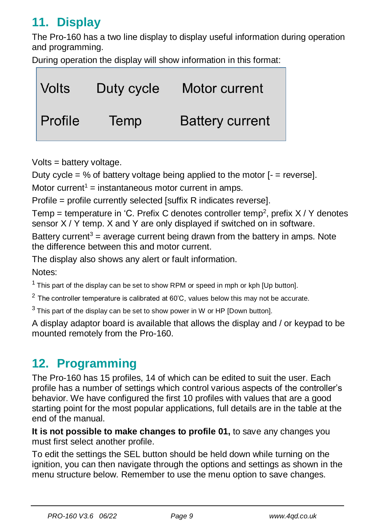### <span id="page-8-0"></span>**11. Display**

The Pro-160 has a two line display to display useful information during operation and programming.

During operation the display will show information in this format:

| ∣ Volts        | Duty cycle  | Motor current          |
|----------------|-------------|------------------------|
| <b>Profile</b> | <b>Temp</b> | <b>Battery current</b> |

Volts = battery voltage.

Duty cycle = % of battery voltage being applied to the motor  $I =$  reverse].

Motor current<sup>1</sup> = instantaneous motor current in amps.

Profile = profile currently selected [suffix R indicates reverse].

Temp = temperature in 'C. Prefix C denotes controller temp<sup>2</sup>, prefix  $X/Y$  denotes sensor X / Y temp. X and Y are only displayed if switched on in software.

Battery current<sup>3</sup> = average current being drawn from the battery in amps. Note the difference between this and motor current.

The display also shows any alert or fault information.

Notes:

 $1$  This part of the display can be set to show RPM or speed in mph or kph [Up button].

 $2$  The controller temperature is calibrated at 60 $^{\circ}$ C, values below this may not be accurate.

 $3$  This part of the display can be set to show power in W or HP [Down button].

A display adaptor board is available that allows the display and / or keypad to be mounted remotely from the Pro-160.

### <span id="page-8-1"></span>**12. Programming**

The Pro-160 has 15 profiles, 14 of which can be edited to suit the user. Each profile has a number of settings which control various aspects of the controller's behavior. We have configured the first 10 profiles with values that are a good starting point for the most popular applications, full details are in the table at the end of the manual.

**It is not possible to make changes to profile 01,** to save any changes you must first select another profile.

To edit the settings the SEL button should be held down while turning on the ignition, you can then navigate through the options and settings as shown in the menu structure below. Remember to use the menu option to save changes.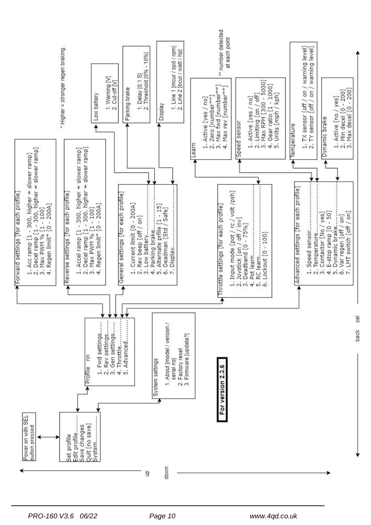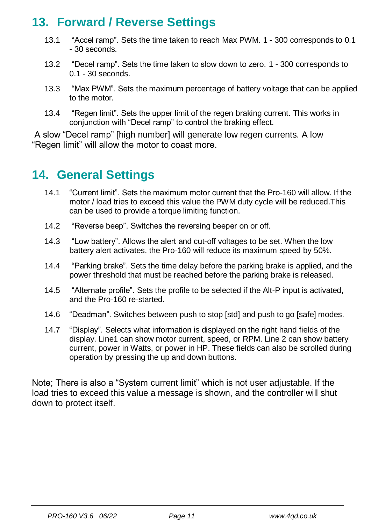### <span id="page-10-0"></span>**13. Forward / Reverse Settings**

- 13.1 "Accel ramp". Sets the time taken to reach Max PWM. 1 300 corresponds to 0.1 - 30 seconds.
- 13.2 "Decel ramp". Sets the time taken to slow down to zero. 1 300 corresponds to 0.1 - 30 seconds.
- 13.3 "Max PWM". Sets the maximum percentage of battery voltage that can be applied to the motor.
- 13.4 "Regen limit". Sets the upper limit of the regen braking current. This works in conjunction with "Decel ramp" to control the braking effect.

A slow "Decel ramp" [high number] will generate low regen currents. A low "Regen limit" will allow the motor to coast more.

### <span id="page-10-1"></span>**14. General Settings**

- 14.1 "Current limit". Sets the maximum motor current that the Pro-160 will allow. If the motor / load tries to exceed this value the PWM duty cycle will be reduced.This can be used to provide a torque limiting function.
- 14.2 "Reverse beep". Switches the reversing beeper on or off.
- 14.3 "Low battery". Allows the alert and cut-off voltages to be set. When the low battery alert activates, the Pro-160 will reduce its maximum speed by 50%.
- 14.4 "Parking brake". Sets the time delay before the parking brake is applied, and the power threshold that must be reached before the parking brake is released.
- 14.5 "Alternate profile". Sets the profile to be selected if the Alt-P input is activated, and the Pro-160 re-started.
- 14.6 "Deadman". Switches between push to stop [std] and push to go [safe] modes.
- 14.7 "Display". Selects what information is displayed on the right hand fields of the display. Line1 can show motor current, speed, or RPM. Line 2 can show battery current, power in Watts, or power in HP. These fields can also be scrolled during operation by pressing the up and down buttons.

Note; There is also a "System current limit" which is not user adjustable. If the load tries to exceed this value a message is shown, and the controller will shut down to protect itself.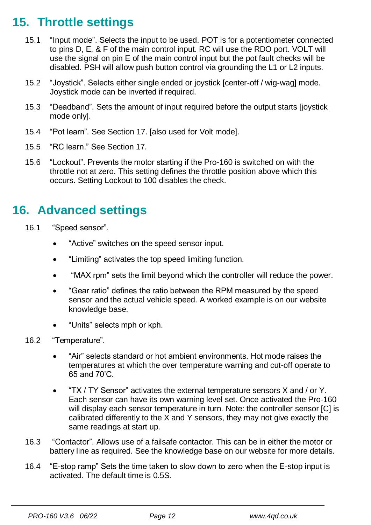### <span id="page-11-0"></span>**15. Throttle settings**

- 15.1 "Input mode". Selects the input to be used. POT is for a potentiometer connected to pins D, E, & F of the main control input. RC will use the RDO port. VOLT will use the signal on pin E of the main control input but the pot fault checks will be disabled. PSH will allow push button control via grounding the L1 or L2 inputs.
- 15.2 "Joystick". Selects either single ended or joystick [center-off / wig-wag] mode. Joystick mode can be inverted if required.
- 15.3 "Deadband". Sets the amount of input required before the output starts [joystick mode only].
- 15.4 "Pot learn". See Section 17. [also used for Volt mode].
- 15.5 "RC learn." See Section 17.
- 15.6 "Lockout". Prevents the motor starting if the Pro-160 is switched on with the throttle not at zero. This setting defines the throttle position above which this occurs. Setting Lockout to 100 disables the check.

### <span id="page-11-1"></span>**16. Advanced settings**

- 16.1 "Speed sensor".
	- "Active" switches on the speed sensor input.
	- "Limiting" activates the top speed limiting function.
	- "MAX rpm" sets the limit beyond which the controller will reduce the power.
	- "Gear ratio" defines the ratio between the RPM measured by the speed sensor and the actual vehicle speed. A worked example is on our website knowledge base.
	- "Units" selects mph or kph.
- 16.2 "Temperature".
	- "Air" selects standard or hot ambient environments. Hot mode raises the temperatures at which the over temperature warning and cut-off operate to 65 and 70'C.
	- "TX / TY Sensor" activates the external temperature sensors X and / or Y. Each sensor can have its own warning level set. Once activated the Pro-160 will display each sensor temperature in turn. Note: the controller sensor [C] is calibrated differently to the X and Y sensors, they may not give exactly the same readings at start up.
- 16.3 "Contactor". Allows use of a failsafe contactor. This can be in either the motor or battery line as required. See the knowledge base on our website for more details.
- 16.4 "E-stop ramp" Sets the time taken to slow down to zero when the E-stop input is activated. The default time is 0.5S.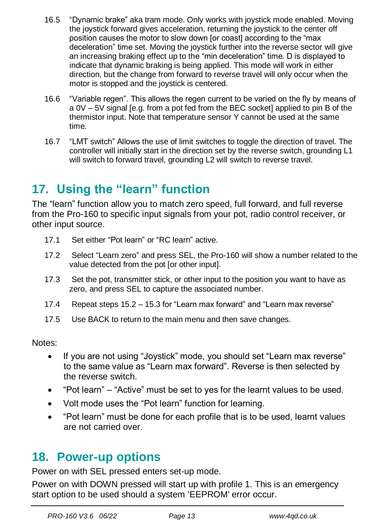- 16.5 "Dynamic brake" aka tram mode. Only works with joystick mode enabled. Moving the joystick forward gives acceleration, returning the joystick to the center off position causes the motor to slow down for coastl according to the "max" deceleration" time set. Moving the joystick further into the reverse sector will give an increasing braking effect up to the "min deceleration" time. D is displayed to indicate that dynamic braking is being applied. This mode will work in either direction, but the change from forward to reverse travel will only occur when the motor is stopped and the joystick is centered.
- 16.6 "Variable regen". This allows the regen current to be varied on the fly by means of a 0V – 5V signal [e.g. from a pot fed from the BEC socket] applied to pin B of the thermistor input. Note that temperature sensor Y cannot be used at the same time.
- 16.7 "LMT switch" Allows the use of limit switches to toggle the direction of travel. The controller will initially start in the direction set by the reverse switch, grounding L1 will switch to forward travel, grounding L2 will switch to reverse travel.

### <span id="page-12-0"></span>**17. Using the "learn" function**

The "learn" function allow you to match zero speed, full forward, and full reverse from the Pro-160 to specific input signals from your pot, radio control receiver, or other input source.

- 17.1 Set either "Pot learn" or "RC learn" active.
- 17.2 Select "Learn zero" and press SEL, the Pro-160 will show a number related to the value detected from the pot [or other input].
- 17.3 Set the pot, transmitter stick, or other input to the position you want to have as zero, and press SEL to capture the associated number.
- 17.4 Repeat steps 15.2 15.3 for "Learn max forward" and "Learn max reverse"
- 17.5 Use BACK to return to the main menu and then save changes.

Notes:

- If you are not using "Joystick" mode, you should set "Learn max reverse" to the same value as "Learn max forward". Reverse is then selected by the reverse switch.
- "Pot learn" "Active" must be set to yes for the learnt values to be used.
- Volt mode uses the "Pot learn" function for learning.
- "Pot learn" must be done for each profile that is to be used, learnt values are not carried over.

### <span id="page-12-1"></span>**18. Power-up options**

Power on with SEL pressed enters set-up mode.

Power on with DOWN pressed will start up with profile 1. This is an emergency start option to be used should a system 'EEPROM' error occur.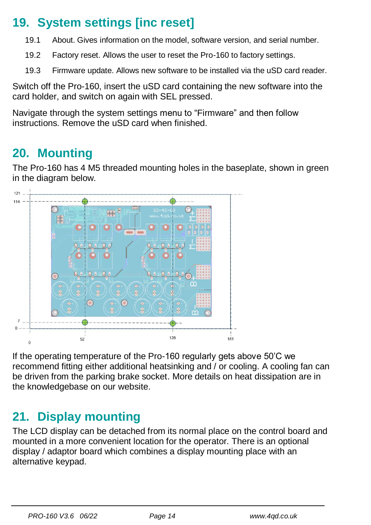### <span id="page-13-0"></span>**19. System settings [inc reset]**

- 19.1 About. Gives information on the model, software version, and serial number.
- 19.2 Factory reset. Allows the user to reset the Pro-160 to factory settings.
- 19.3 Firmware update. Allows new software to be installed via the uSD card reader.

Switch off the Pro-160, insert the uSD card containing the new software into the card holder, and switch on again with SEL pressed.

Navigate through the system settings menu to "Firmware" and then follow instructions. Remove the uSD card when finished.

### <span id="page-13-1"></span>**20. Mounting**

The Pro-160 has 4 M5 threaded mounting holes in the baseplate, shown in green in the diagram below.



If the operating temperature of the Pro-160 regularly gets above 50'C we recommend fitting either additional heatsinking and / or cooling. A cooling fan can be driven from the parking brake socket. More details on heat dissipation are in the knowledgebase on our website.

### <span id="page-13-2"></span>**21. Display mounting**

The LCD display can be detached from its normal place on the control board and mounted in a more convenient location for the operator. There is an optional display / adaptor board which combines a display mounting place with an alternative keypad.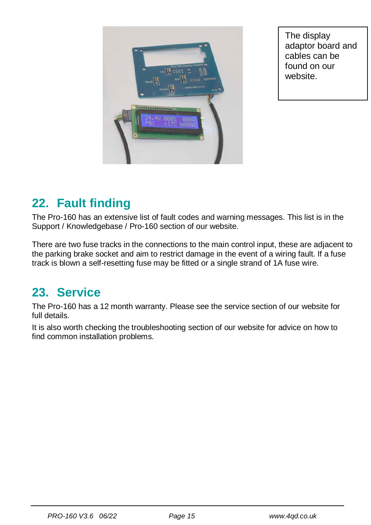

The display adaptor board and cables can be found on our website.

### <span id="page-14-0"></span>**22. Fault finding**

The Pro-160 has an extensive list of fault codes and warning messages. This list is in the Support / Knowledgebase / Pro-160 section of our website.

There are two fuse tracks in the connections to the main control input, these are adjacent to the parking brake socket and aim to restrict damage in the event of a wiring fault. If a fuse track is blown a self-resetting fuse may be fitted or a single strand of 1A fuse wire.

### <span id="page-14-1"></span>**23. Service**

The Pro-160 has a 12 month warranty. Please see the service section of our website for full details.

It is also worth checking the troubleshooting section of our website for advice on how to find common installation problems.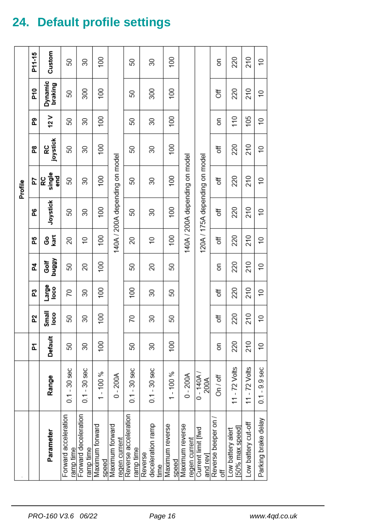# <span id="page-15-0"></span>**24. Default profile settings**

|                                      |                    |                  |                 |                |                   |                 |                 | Profile                        |                  |                 |                    |                 |
|--------------------------------------|--------------------|------------------|-----------------|----------------|-------------------|-----------------|-----------------|--------------------------------|------------------|-----------------|--------------------|-----------------|
|                                      |                    | Ł                | 5Z              | ឌ              | 24                | 55              | 8               | 54                             | å,               | ፎ               | P10                | P11-15          |
| Parameter                            | Range              | Default          | Small<br>loco   | Large<br>loco  | <b>ABBnq</b><br>Ğ | ទិទ្ធិ          | Joystick        | RC<br>single<br>end<br>G       | joystick<br>ဥ    | 12V             | Dynamic<br>braking | Custom          |
| Forward acceleration<br>ramp time    | $0.1 - 30$ sec     | 50               | 50              | 70             | 50                | 20              | 50              | 50                             | 50               | 50              | 50                 | 50              |
| Forward deceleration<br>ramp time    | $0.1 - 30$ sec     | 30               | 30              | 30             | 20                | $\cong$         | 30              | 30                             | 30               | 30              | 300                | 30              |
| Maximum forward<br>speed             | $1 - 100 %$        | $\overline{100}$ | 100             | 100            | $\overline{00}$   | $\overline{00}$ | $\overline{00}$ | $\overline{00}$                | $\overline{00}$  | $\overline{00}$ | $^{100}$           | 100             |
| Maximum forward<br>regen current     | $0 - 200A$         |                  |                 |                |                   |                 |                 | 140A / 200A depending on model |                  |                 |                    |                 |
| Reverse acceleration<br>ramp time    | $0.1 - 30$ sec     | 50               | 70              | 100            | 50                | 20              | S               | 50                             | 50               | 50              | 50                 | 50              |
| deceleration ramp<br>Reverse<br>time | $0.1 - 30$ sec     | 30               | 30              | 30             | 20                | $\cong$         | 30              | 30                             | 30               | 30              | 300                | 30              |
| Maximum reverse<br>speed             | $1 - 100%$         | $\overline{00}$  | 50              | 50             | 50                | 100             | 100             | $\overline{00}$                | $\overline{100}$ | 100             | $\overline{00}$    | $\overline{00}$ |
| Maximum reverse<br>regen current     | $0 - 200A$         |                  |                 |                |                   |                 |                 | 140A / 200A depending on model |                  |                 |                    |                 |
| Current limit [fwd<br>and rev]       | $0 - 140A$<br>200A |                  |                 |                |                   |                 |                 | 120A / 175A depending on model |                  |                 |                    |                 |
| Reverse beeper on<br>ð               | On / off           | g                | đ               | t              | m                 | t               | t               | ð.                             | ð                | S               | ð                  | m               |
| [50% max speed]<br>Low battery alert | 11 - $72$ Volts    | 220              | 220             | 220            | 220               | 220             | 220             | 220                            | 220              | 110             | 220                | 220             |
| Low battery cut-off                  | 11 - $72$ Volts    | 210              | 210             | 210            | 210               | 210             | 210             | 210                            | 210              | 105             | 210                | 210             |
| Parking brake delay                  | $0.1 - 9.9$ sec    | $\overline{C}$   | $\widetilde{=}$ | $\overline{C}$ | S L               | $\approx$       | $\tilde{=}$     | $\cong$                        | $\overline{C}$   | ₽               | $\overline{C}$     | $\cong$         |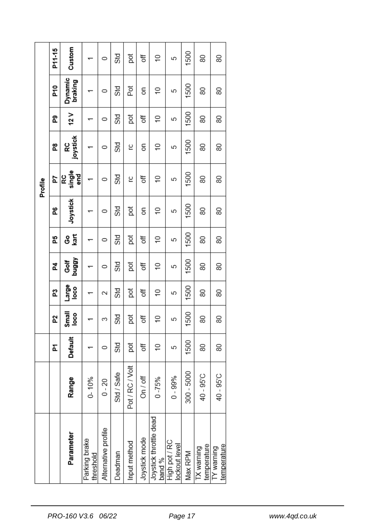|         | P11-15 | Custom             |                            | 0                   | Std        | ă               | ₹             | $\overline{C}$                   | 5                              | 1500       | 80                        | 80                        |
|---------|--------|--------------------|----------------------------|---------------------|------------|-----------------|---------------|----------------------------------|--------------------------------|------------|---------------------------|---------------------------|
|         | 윤      | Dynamic<br>braking |                            | 0                   | Std        | Þot             | SΘ            | \$                               | 5                              | 1500       | 80                        | 80                        |
| Profile | ဥ      | 12V                |                            | $\circ$             | Std        | pot             | ð             | $\widetilde{=}$                  | 5                              | 1500       | 80                        | 80                        |
|         | g<br>E | joystick<br>RC     |                            | 0                   | Std        | ပ္ခ             | δ             | $\overline{C}$                   | 5                              | 1500       | 80                        | 80                        |
|         | 54     | single<br>g<br>ဥ   |                            | 0                   | Std        | ပ္ခ             | ð             | $\overline{C}$                   | 5                              | 1500       | 80                        | 80                        |
|         | å,     | Joystick           |                            | 0                   | Std        | ğ               | 5             | $\approx$                        | 5                              | 1500       | 80                        | 80                        |
|         | 5      | kart<br>မိ         |                            | 0                   | Std        | ē               | ð             | $\cong$                          | 5                              | 1500       | 80                        | 80                        |
|         | 4      | Golf<br>buggy      |                            | $\circ$             | Std        | pot             | ð             | \$                               | 5                              | 1500       | 80                        | 80                        |
|         | ជ      | oso<br>Palar       |                            | 2                   | Std        | ă               | ð             | $\frac{1}{2}$                    | 5                              | 1500       | 80                        | 80                        |
|         | 5Z     | Small<br>loco      |                            | 3                   | Std        | pot             | ð             | S)                               | 5                              | 1500       | 80                        | 80                        |
|         | ፚ      | Default            |                            | 0                   | Std        | pot             | đ             | $\overline{C}$                   | 5                              | 1500       | 80                        | 80                        |
|         |        | Range              | $0 - 10%$                  | $0 - 20$            | Std / Safe | Pot / RC / Volt | On / off      | $0 - 75%$                        | $0 - 99%$                      | 300 - 5000 | 40 - 95 <sup>°</sup> C    | 40 - 95°C                 |
|         |        | Parameter          | Parking brake<br>threshold | Alternative profile | Deadman    | Input method    | Joystick mode | Joystick throttle dead<br>band % | High pot / RC<br>lockout level | Max RPM    | temperature<br>TX warning | temperature<br>TY warning |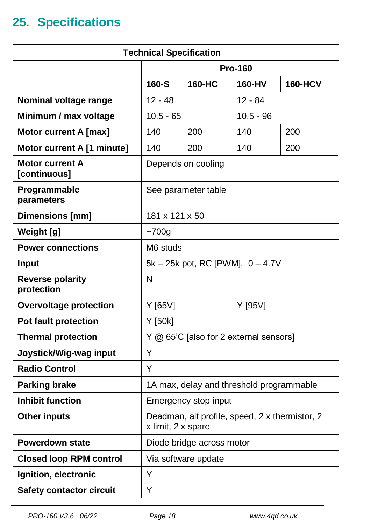## <span id="page-17-0"></span>**25. Specifications**

| <b>Technical Specification</b>        |                                                                      |                                        |                |                |  |  |  |
|---------------------------------------|----------------------------------------------------------------------|----------------------------------------|----------------|----------------|--|--|--|
|                                       |                                                                      |                                        | <b>Pro-160</b> |                |  |  |  |
|                                       | 160-S                                                                | 160-HC                                 | 160-HV         | <b>160-HCV</b> |  |  |  |
| Nominal voltage range                 | $12 - 48$                                                            |                                        | 12 - 84        |                |  |  |  |
| Minimum / max voltage                 | $10.5 - 65$                                                          |                                        | $10.5 - 96$    |                |  |  |  |
| <b>Motor current A [max]</b>          | 140                                                                  | 200                                    | 140            | 200            |  |  |  |
| Motor current A [1 minute]            | 140                                                                  | 200                                    | 140            | 200            |  |  |  |
| Motor current A<br>[continuous]       |                                                                      | Depends on cooling                     |                |                |  |  |  |
| Programmable<br>parameters            |                                                                      | See parameter table                    |                |                |  |  |  |
| Dimensions [mm]                       | 181 x 121 x 50                                                       |                                        |                |                |  |  |  |
| Weight [g]                            | $-700g$                                                              |                                        |                |                |  |  |  |
| <b>Power connections</b>              | M6 studs                                                             |                                        |                |                |  |  |  |
| Input                                 |                                                                      | 5k - 25k pot, RC [PWM], 0 - 4.7V       |                |                |  |  |  |
| <b>Reverse polarity</b><br>protection | N                                                                    |                                        |                |                |  |  |  |
| <b>Overvoltage protection</b>         | Y [65V]                                                              |                                        | Y [95V]        |                |  |  |  |
| Pot fault protection                  | Y [50k]                                                              |                                        |                |                |  |  |  |
| <b>Thermal protection</b>             |                                                                      | Y @ 65'C [also for 2 external sensors] |                |                |  |  |  |
| Joystick/Wig-wag input                | Υ                                                                    |                                        |                |                |  |  |  |
| <b>Radio Control</b>                  | Υ                                                                    |                                        |                |                |  |  |  |
| <b>Parking brake</b>                  | 1A max, delay and threshold programmable                             |                                        |                |                |  |  |  |
| <b>Inhibit function</b>               | Emergency stop input                                                 |                                        |                |                |  |  |  |
| <b>Other inputs</b>                   | Deadman, alt profile, speed, 2 x thermistor, 2<br>x limit, 2 x spare |                                        |                |                |  |  |  |
| <b>Powerdown state</b>                | Diode bridge across motor                                            |                                        |                |                |  |  |  |
| <b>Closed loop RPM control</b>        | Via software update                                                  |                                        |                |                |  |  |  |
| Ignition, electronic                  | Y                                                                    |                                        |                |                |  |  |  |
| <b>Safety contactor circuit</b>       | Y                                                                    |                                        |                |                |  |  |  |

*PRO-160 V3.6 06/22 Page 18 www.4qd.co.uk*